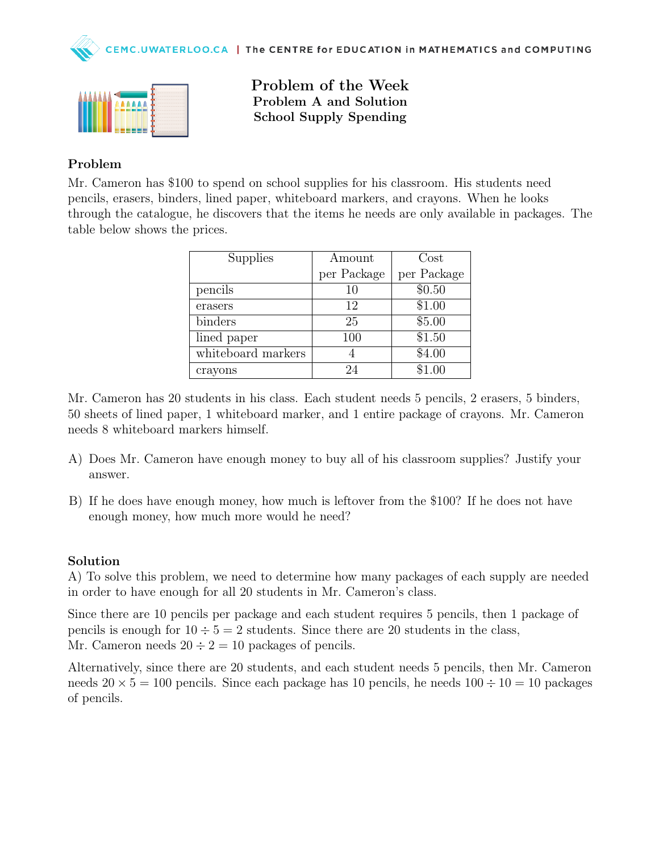



Problem of the Week Problem A and Solution School Supply Spending

## Problem

Mr. Cameron has \$100 to spend on school supplies for his classroom. His students need pencils, erasers, binders, lined paper, whiteboard markers, and crayons. When he looks through the catalogue, he discovers that the items he needs are only available in packages. The table below shows the prices.

| Supplies           | Amount      | Cost        |
|--------------------|-------------|-------------|
|                    | per Package | per Package |
| pencils            | 10          | \$0.50      |
| erasers            | 12          | \$1.00      |
| binders            | 25          | \$5.00      |
| lined paper        | 100         | \$1.50      |
| whiteboard markers |             | \$4.00      |
| crayons            | 24          | \$1.00      |

Mr. Cameron has 20 students in his class. Each student needs 5 pencils, 2 erasers, 5 binders, 50 sheets of lined paper, 1 whiteboard marker, and 1 entire package of crayons. Mr. Cameron needs 8 whiteboard markers himself.

- A) Does Mr. Cameron have enough money to buy all of his classroom supplies? Justify your answer.
- B) If he does have enough money, how much is leftover from the \$100? If he does not have enough money, how much more would he need?

#### Solution

A) To solve this problem, we need to determine how many packages of each supply are needed in order to have enough for all 20 students in Mr. Cameron's class.

Since there are 10 pencils per package and each student requires 5 pencils, then 1 package of pencils is enough for  $10 \div 5 = 2$  students. Since there are 20 students in the class, Mr. Cameron needs  $20 \div 2 = 10$  packages of pencils.

Alternatively, since there are 20 students, and each student needs 5 pencils, then Mr. Cameron needs  $20 \times 5 = 100$  pencils. Since each package has 10 pencils, he needs  $100 \div 10 = 10$  packages of pencils.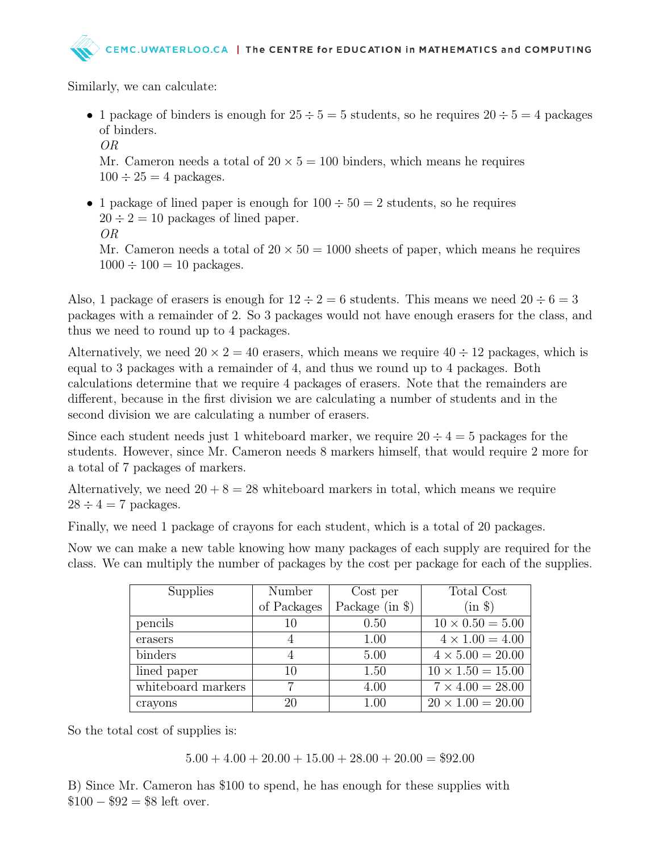Similarly, we can calculate:

- 1 package of binders is enough for  $25 \div 5 = 5$  students, so he requires  $20 \div 5 = 4$  packages of binders.
	- OR

Mr. Cameron needs a total of  $20 \times 5 = 100$  binders, which means he requires  $100 \div 25 = 4$  packages.

• 1 package of lined paper is enough for  $100 \div 50 = 2$  students, so he requires  $20 \div 2 = 10$  packages of lined paper. OR Mr. Cameron needs a total of  $20 \times 50 = 1000$  sheets of paper, which means he requires  $1000 \div 100 = 10$  packages.

Also, 1 package of erasers is enough for  $12 \div 2 = 6$  students. This means we need  $20 \div 6 = 3$ packages with a remainder of 2. So 3 packages would not have enough erasers for the class, and thus we need to round up to 4 packages.

Alternatively, we need  $20 \times 2 = 40$  erasers, which means we require  $40 \div 12$  packages, which is equal to 3 packages with a remainder of 4, and thus we round up to 4 packages. Both calculations determine that we require 4 packages of erasers. Note that the remainders are different, because in the first division we are calculating a number of students and in the second division we are calculating a number of erasers.

Since each student needs just 1 whiteboard marker, we require  $20 \div 4 = 5$  packages for the students. However, since Mr. Cameron needs 8 markers himself, that would require 2 more for a total of 7 packages of markers.

Alternatively, we need  $20 + 8 = 28$  whiteboard markers in total, which means we require  $28 \div 4 = 7$  packages.

Finally, we need 1 package of crayons for each student, which is a total of 20 packages.

Now we can make a new table knowing how many packages of each supply are required for the class. We can multiply the number of packages by the cost per package for each of the supplies.

| <b>Supplies</b>    | Number      | Cost per          | Total Cost               |
|--------------------|-------------|-------------------|--------------------------|
|                    | of Packages | Package (in $\})$ | $(in \$                  |
| pencils            | 10          | 0.50              | $10 \times 0.50 = 5.00$  |
| erasers            | 4           | 1.00              | $4 \times 1.00 = 4.00$   |
| binders            |             | 5.00              | $4 \times 5.00 = 20.00$  |
| lined paper        | 10          | 1.50              | $10 \times 1.50 = 15.00$ |
| whiteboard markers |             | 4.00              | $7 \times 4.00 = 28.00$  |
| crayons            | 20          | 1.00              | $20 \times 1.00 = 20.00$ |

So the total cost of supplies is:

 $5.00 + 4.00 + 20.00 + 15.00 + 28.00 + 20.00 = $92.00$ 

B) Since Mr. Cameron has \$100 to spend, he has enough for these supplies with  $$100 - $92 = $8$  left over.